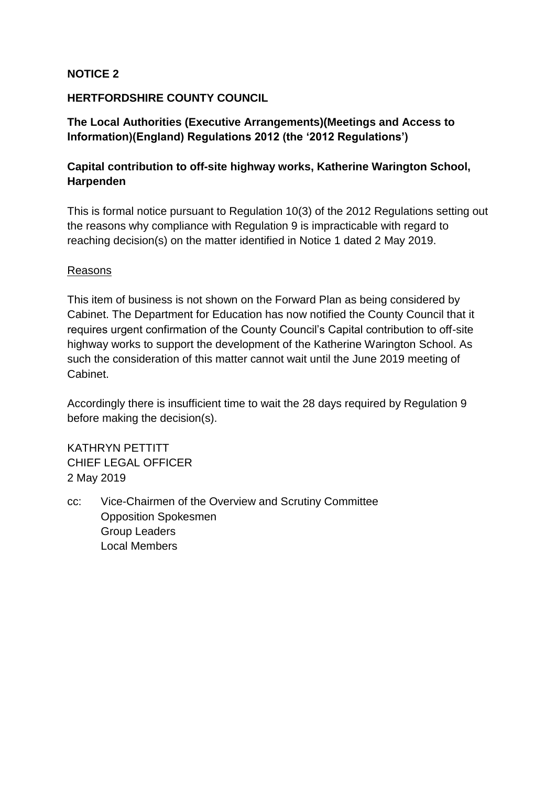#### **NOTICE 2**

#### **HERTFORDSHIRE COUNTY COUNCIL**

## **The Local Authorities (Executive Arrangements)(Meetings and Access to Information)(England) Regulations 2012 (the '2012 Regulations')**

# **Capital contribution to off-site highway works, Katherine Warington School, Harpenden**

This is formal notice pursuant to Regulation 10(3) of the 2012 Regulations setting out the reasons why compliance with Regulation 9 is impracticable with regard to reaching decision(s) on the matter identified in Notice 1 dated 2 May 2019.

#### Reasons

This item of business is not shown on the Forward Plan as being considered by Cabinet. The Department for Education has now notified the County Council that it requires urgent confirmation of the County Council's Capital contribution to off-site highway works to support the development of the Katherine Warington School. As such the consideration of this matter cannot wait until the June 2019 meeting of Cabinet.

Accordingly there is insufficient time to wait the 28 days required by Regulation 9 before making the decision(s).

KATHRYN PETTITT CHIEF LEGAL OFFICER 2 May 2019

cc: Vice-Chairmen of the Overview and Scrutiny Committee Opposition Spokesmen Group Leaders Local Members